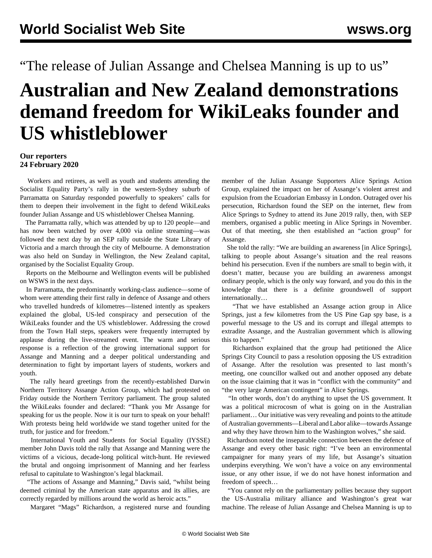"The release of Julian Assange and Chelsea Manning is up to us"

## **Australian and New Zealand demonstrations demand freedom for WikiLeaks founder and US whistleblower**

## **Our reporters 24 February 2020**

 Workers and retirees, as well as youth and students attending the Socialist Equality Party's rally in the western-Sydney suburb of Parramatta on Saturday responded powerfully to speakers' calls for them to deepen their involvement in the fight to defend WikiLeaks founder Julian Assange and US whistleblower Chelsea Manning.

 The Parramatta rally, which was attended by up to 120 people—and has now been watched by over 4,000 via online streaming—was followed the next day by an SEP rally outside the State Library of Victoria and a march through the city of Melbourne. A demonstration was also held on Sunday in Wellington, the New Zealand capital, organised by the Socialist Equality Group.

 Reports on the Melbourne and Wellington events will be published on WSWS in the next days.

 In Parramatta, the predominantly working-class audience—some of whom were attending their first rally in defence of Assange and others who travelled hundreds of kilometres—listened intently as speakers explained the global, US-led conspiracy and persecution of the WikiLeaks founder and the US whistleblower. Addressing the crowd from the Town Hall steps, speakers were frequently interrupted by applause during the live-streamed event. The warm and serious response is a reflection of the growing international support for Assange and Manning and a deeper political understanding and determination to fight by important layers of students, workers and youth.

 The rally heard greetings from the recently-established Darwin Northern Territory Assange Action Group, which had protested on Friday outside the Northern Territory parliament. The group saluted the WikiLeaks founder and declared: "Thank you Mr Assange for speaking for us the people. Now it is our turn to speak on your behalf! With protests being held worldwide we stand together united for the truth, for justice and for freedom."

 International Youth and Students for Social Equality (IYSSE) member John Davis told the rally that Assange and Manning were the victims of a vicious, decade-long political witch-hunt. He reviewed the brutal and ongoing imprisonment of Manning and her fearless refusal to capitulate to Washington's legal blackmail.

 "The actions of Assange and Manning," Davis said, "whilst being deemed criminal by the American state apparatus and its allies, are correctly regarded by millions around the world as heroic acts."

[Margaret "Mags" Richardson](https://www.youtube.com/watch?v=lI6_kELX1Yw), a registered nurse and founding

member of the Julian Assange Supporters Alice Springs Action Group, explained the impact on her of Assange's violent arrest and expulsion from the Ecuadorian Embassy in London. Outraged over his persecution, Richardson found the SEP on the internet, flew from Alice Springs to Sydney to attend its June 2019 rally, then, with SEP members, organised a public meeting in Alice Springs in November. Out of that meeting, she then established an "action group" for Assange.

 She told the rally: "We are building an awareness [in Alice Springs], talking to people about Assange's situation and the real reasons behind his persecution. Even if the numbers are small to begin with, it doesn't matter, because you are building an awareness amongst ordinary people, which is the only way forward, and you do this in the knowledge that there is a definite groundswell of support internationally…

 "That we have established an Assange action group in Alice Springs, just a few kilometres from the US Pine Gap spy base, is a powerful message to the US and its corrupt and illegal attempts to extradite Assange, and the Australian government which is allowing this to happen."

 Richardson explained that the group had petitioned the Alice Springs City Council to pass a resolution opposing the US extradition of Assange. After the resolution was presented to last month's meeting, one councillor walked out and another opposed any debate on the issue claiming that it was in "conflict with the community" and "the very large American contingent" in Alice Springs.

 "In other words, don't do anything to upset the US government. It was a political microcosm of what is going on in the Australian parliament… Our initiative was very revealing and points to the attitude of Australian governments—Liberal and Labor alike—towards Assange and why they have thrown him to the Washington wolves," she said.

 Richardson noted the inseparable connection between the defence of Assange and every other basic right: "I've been an environmental campaigner for many years of my life, but Assange's situation underpins everything. We won't have a voice on any environmental issue, or any other issue, if we do not have honest information and freedom of speech…

 "You cannot rely on the parliamentary pollies because they support the US-Australia military alliance and Washington's great war machine. The release of Julian Assange and Chelsea Manning is up to